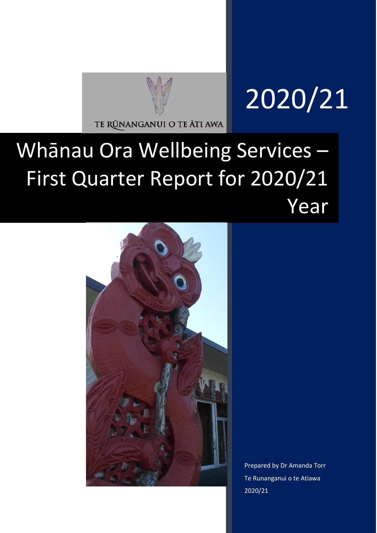

# 2020/21

## Whānau Ora Wellbeing Services – First Quarter Report for 2020/21 Year



Prepared by Dr Amanda Torr Te Runanganui o te Atiawa 2020/21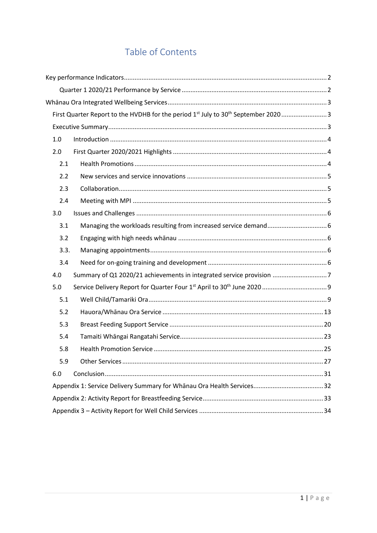## Table of Contents

|      | First Quarter Report to the HVDHB for the period 1 <sup>st</sup> July to 30 <sup>th</sup> September 20203 |  |
|------|-----------------------------------------------------------------------------------------------------------|--|
|      |                                                                                                           |  |
| 1.0  |                                                                                                           |  |
| 2.0  |                                                                                                           |  |
| 2.1  |                                                                                                           |  |
| 2.2  |                                                                                                           |  |
| 2.3  |                                                                                                           |  |
| 2.4  |                                                                                                           |  |
| 3.0  |                                                                                                           |  |
| 3.1  |                                                                                                           |  |
| 3.2  |                                                                                                           |  |
| 3.3. |                                                                                                           |  |
| 3.4  |                                                                                                           |  |
| 4.0  | Summary of Q1 2020/21 achievements in integrated service provision 7                                      |  |
| 5.0  |                                                                                                           |  |
| 5.1  |                                                                                                           |  |
| 5.2  |                                                                                                           |  |
| 5.3  |                                                                                                           |  |
| 5.4  |                                                                                                           |  |
| 5.8  |                                                                                                           |  |
| 5.9  |                                                                                                           |  |
| 6.0  |                                                                                                           |  |
|      |                                                                                                           |  |
|      |                                                                                                           |  |
|      |                                                                                                           |  |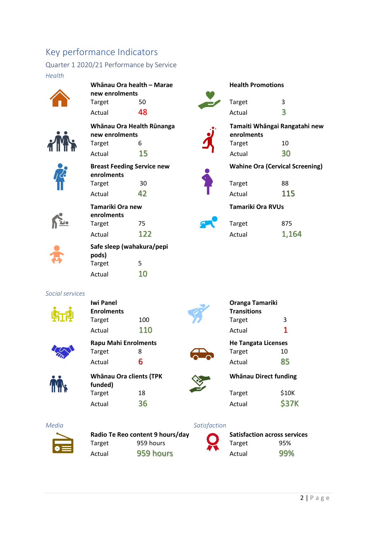## <span id="page-2-0"></span>Key performance Indicators

<span id="page-2-1"></span>Quarter 1 2020/21 Performance by Service *Health*



**CERTIFICATE** 

 $\sum$ 

| Whānau Ora health - Marae |                                   |  |  |  |  |
|---------------------------|-----------------------------------|--|--|--|--|
| new enrolments            |                                   |  |  |  |  |
| <b>Target</b>             | 50                                |  |  |  |  |
| Actual                    | 48                                |  |  |  |  |
|                           | Whānau Ora Health Rūnanga         |  |  |  |  |
| new enrolments            |                                   |  |  |  |  |
| Target                    | 6                                 |  |  |  |  |
| Actual                    | 15                                |  |  |  |  |
|                           | <b>Breast Feeding Service new</b> |  |  |  |  |
| enrolments                |                                   |  |  |  |  |
| Target                    | 30                                |  |  |  |  |
| Actual                    | 42                                |  |  |  |  |
| Tamariki Ora new          |                                   |  |  |  |  |
| enrolments                |                                   |  |  |  |  |
| Target                    | 75                                |  |  |  |  |
| Actual                    | 122                               |  |  |  |  |
|                           | Safe sleep (wahakura/pepi         |  |  |  |  |
| pods)                     |                                   |  |  |  |  |
| Target                    | 5                                 |  |  |  |  |
| Actual                    | 10                                |  |  |  |  |
|                           |                                   |  |  |  |  |
| <b>Iwi Panel</b>          |                                   |  |  |  |  |
| <b>Enrolments</b>         |                                   |  |  |  |  |
| Target                    | 100                               |  |  |  |  |
|                           | 110                               |  |  |  |  |



**Rapu Mahi Enrolments** Target 8 Actual 6



**Whānau Ora clients (TPK funded)** Target 18 Actual 36

Target 959 hours Actual 959 hours

**Radio Te Reo content 9 hours/day**





**He Tangata Licenses** Target 10 Actual 85



**Whānau Direct funding**

| Target | \$10K        |
|--------|--------------|
| Actual | <b>\$37K</b> |

#### *Media Satisfaction*

| <b>Satisfaction across services</b> |     |  |  |
|-------------------------------------|-----|--|--|
| Target                              | 95% |  |  |
| Actual                              | 99% |  |  |





**Tamaiti Whāngai Rangatahi new enrolments** Target 10 Actual 30

**Wahine Ora (Cervical Screening)**

| Target | 88  |
|--------|-----|
| Actual | 115 |

**Health Promotions**

**Tamariki Ora RVUs**

| Target | 875   |
|--------|-------|
| Actual | 1,164 |

*Social services*



Actual 110

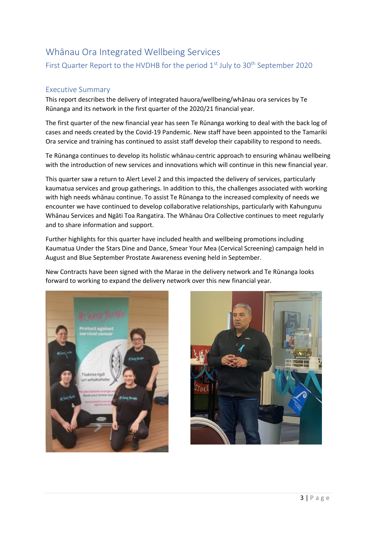## <span id="page-3-1"></span><span id="page-3-0"></span>Whānau Ora Integrated Wellbeing Services First Quarter Report to the HVDHB for the period  $1<sup>st</sup>$  July to 30<sup>th</sup> September 2020

#### <span id="page-3-2"></span>Executive Summary

This report describes the delivery of integrated hauora/wellbeing/whānau ora services by Te Rūnanga and its network in the first quarter of the 2020/21 financial year.

The first quarter of the new financial year has seen Te Rūnanga working to deal with the back log of cases and needs created by the Covid-19 Pandemic. New staff have been appointed to the Tamariki Ora service and training has continued to assist staff develop their capability to respond to needs.

Te Rūnanga continues to develop its holistic whānau-centric approach to ensuring whānau wellbeing with the introduction of new services and innovations which will continue in this new financial year.

This quarter saw a return to Alert Level 2 and this impacted the delivery of services, particularly kaumatua services and group gatherings. In addition to this, the challenges associated with working with high needs whānau continue. To assist Te Rūnanga to the increased complexity of needs we encounter we have continued to develop collaborative relationships, particularly with Kahungunu Whānau Services and Ngāti Toa Rangatira. The Whānau Ora Collective continues to meet regularly and to share information and support.

Further highlights for this quarter have included health and wellbeing promotions including Kaumatua Under the Stars Dine and Dance, Smear Your Mea (Cervical Screening) campaign held in August and Blue September Prostate Awareness evening held in September.

New Contracts have been signed with the Marae in the delivery network and Te Rūnanga looks forward to working to expand the delivery network over this new financial year.



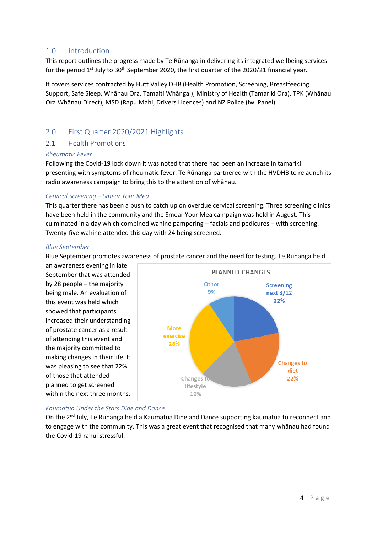#### <span id="page-4-0"></span>1.0 Introduction

This report outlines the progress made by Te Rūnanga in delivering its integrated wellbeing services for the period 1<sup>st</sup> July to 30<sup>th</sup> September 2020, the first quarter of the 2020/21 financial year.

It covers services contracted by Hutt Valley DHB (Health Promotion, Screening, Breastfeeding Support, Safe Sleep, Whānau Ora, Tamaiti Whāngai), Ministry of Health (Tamariki Ora), TPK (Whānau Ora Whānau Direct), MSD (Rapu Mahi, Drivers Licences) and NZ Police (Iwi Panel).

#### <span id="page-4-1"></span>2.0 First Quarter 2020/2021 Highlights

#### <span id="page-4-2"></span>2.1 Health Promotions

#### *Rheumatic Fever*

Following the Covid-19 lock down it was noted that there had been an increase in tamariki presenting with symptoms of rheumatic fever. Te Rūnanga partnered with the HVDHB to relaunch its radio awareness campaign to bring this to the attention of whānau.

#### *Cervical Screening – Smear Your Mea*

This quarter there has been a push to catch up on overdue cervical screening. Three screening clinics have been held in the community and the Smear Your Mea campaign was held in August. This culminated in a day which combined wahine pampering – facials and pedicures – with screening. Twenty-five wahine attended this day with 24 being screened.

#### *Blue September*

Blue September promotes awareness of prostate cancer and the need for testing. Te Rūnanga held

an awareness evening in late September that was attended by 28 people – the majority being male. An evaluation of this event was held which showed that participants increased their understanding of prostate cancer as a result of attending this event and the majority committed to making changes in their life. It was pleasing to see that 22% of those that attended planned to get screened within the next three months.



#### *Kaumatua Under the Stars Dine and Dance*

On the 2<sup>nd</sup> July, Te Rūnanga held a Kaumatua Dine and Dance supporting kaumatua to reconnect and to engage with the community. This was a great event that recognised that many whānau had found the Covid-19 rahui stressful.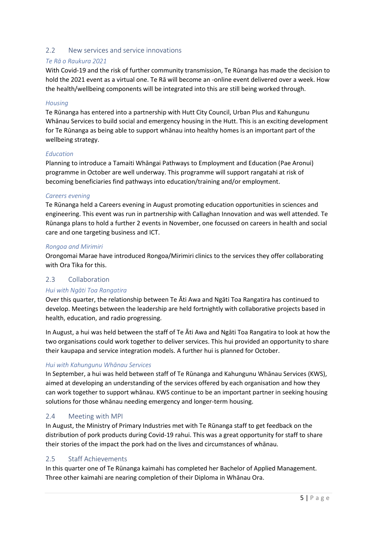#### <span id="page-5-0"></span>2.2 New services and service innovations

#### *Te Rā o Raukura 2021*

With Covid-19 and the risk of further community transmission, Te Rūnanga has made the decision to hold the 2021 event as a virtual one. Te Rā will become an -online event delivered over a week. How the health/wellbeing components will be integrated into this are still being worked through.

#### *Housing*

Te Rūnanga has entered into a partnership with Hutt City Council, Urban Plus and Kahungunu Whānau Services to build social and emergency housing in the Hutt. This is an exciting development for Te Rūnanga as being able to support whānau into healthy homes is an important part of the wellbeing strategy.

#### *Education*

Planning to introduce a Tamaiti Whāngai Pathways to Employment and Education (Pae Aronui) programme in October are well underway. This programme will support rangatahi at risk of becoming beneficiaries find pathways into education/training and/or employment.

#### *Careers evening*

Te Rūnanga held a Careers evening in August promoting education opportunities in sciences and engineering. This event was run in partnership with Callaghan Innovation and was well attended. Te Rūnanga plans to hold a further 2 events in November, one focussed on careers in health and social care and one targeting business and ICT.

#### *Rongoa and Mirimiri*

Orongomai Marae have introduced Rongoa/Mirimiri clinics to the services they offer collaborating with Ora Tika for this.

#### <span id="page-5-1"></span>2.3 Collaboration

#### *Hui with Ngāti Toa Rangatira*

Over this quarter, the relationship between Te Āti Awa and Ngāti Toa Rangatira has continued to develop. Meetings between the leadership are held fortnightly with collaborative projects based in health, education, and radio progressing.

In August, a hui was held between the staff of Te Āti Awa and Ngāti Toa Rangatira to look at how the two organisations could work together to deliver services. This hui provided an opportunity to share their kaupapa and service integration models. A further hui is planned for October.

#### *Hui with Kahungunu Whānau Services*

In September, a hui was held between staff of Te Rūnanga and Kahungunu Whānau Services (KWS), aimed at developing an understanding of the services offered by each organisation and how they can work together to support whānau. KWS continue to be an important partner in seeking housing solutions for those whānau needing emergency and longer-term housing.

#### <span id="page-5-2"></span>2.4 Meeting with MPI

In August, the Ministry of Primary Industries met with Te Rūnanga staff to get feedback on the distribution of pork products during Covid-19 rahui. This was a great opportunity for staff to share their stories of the impact the pork had on the lives and circumstances of whānau.

#### 2.5 Staff Achievements

In this quarter one of Te Rūnanga kaimahi has completed her Bachelor of Applied Management. Three other kaimahi are nearing completion of their Diploma in Whānau Ora.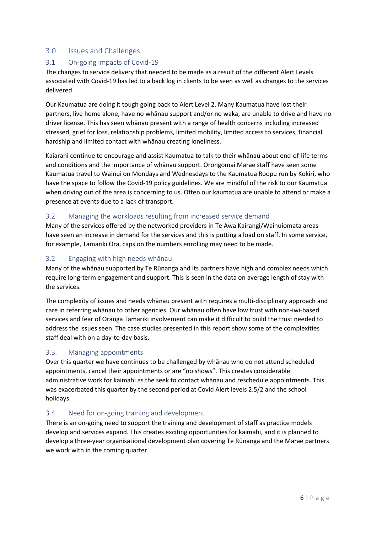#### <span id="page-6-0"></span>3.0 Issues and Challenges

#### <span id="page-6-1"></span>3.1 On-going impacts of Covid-19

The changes to service delivery that needed to be made as a result of the different Alert Levels associated with Covid-19 has led to a back log in clients to be seen as well as changes to the services delivered.

Our Kaumatua are doing it tough going back to Alert Level 2. Many Kaumatua have lost their partners, live home alone, have no whānau support and/or no waka, are unable to drive and have no driver license. This has seen whānau present with a range of health concerns including increased stressed, grief for loss, relationship problems, limited mobility, limited access to services, financial hardship and limited contact with whānau creating loneliness.

Kaiarahi continue to encourage and assist Kaumatua to talk to their whānau about end-of-life terms and conditions and the importance of whānau support. Orongomai Marae staff have seen some Kaumatua travel to Wainui on Mondays and Wednesdays to the Kaumatua Roopu run by Kokiri, who have the space to follow the Covid-19 policy guidelines. We are mindful of the risk to our Kaumatua when driving out of the area is concerning to us. Often our kaumatua are unable to attend or make a presence at events due to a lack of transport.

#### 3.2 Managing the workloads resulting from increased service demand

Many of the services offered by the networked providers in Te Awa Kairangi/Wainuiomata areas have seen an increase in demand for the services and this is putting a load on staff. In some service, for example, Tamariki Ora, caps on the numbers enrolling may need to be made.

#### <span id="page-6-2"></span>3.2 Engaging with high needs whānau

Many of the whānau supported by Te Rūnanga and its partners have high and complex needs which require long-term engagement and support. This is seen in the data on average length of stay with the services.

The complexity of issues and needs whānau present with requires a multi-disciplinary approach and care in referring whānau to other agencies. Our whānau often have low trust with non-iwi-based services and fear of Oranga Tamariki involvement can make it difficult to build the trust needed to address the issues seen. The case studies presented in this report show some of the complexities staff deal with on a day-to-day basis.

#### <span id="page-6-3"></span>3.3. Managing appointments

Over this quarter we have continues to be challenged by whānau who do not attend scheduled appointments, cancel their appointments or are "no shows". This creates considerable administrative work for kaimahi as the seek to contact whānau and reschedule appointments. This was exacerbated this quarter by the second period at Covid Alert levels 2.5/2 and the school holidays.

#### <span id="page-6-4"></span>3.4 Need for on-going training and development

There is an on-going need to support the training and development of staff as practice models develop and services expand. This creates exciting opportunities for kaimahi, and it is planned to develop a three-year organisational development plan covering Te Rūnanga and the Marae partners we work with in the coming quarter.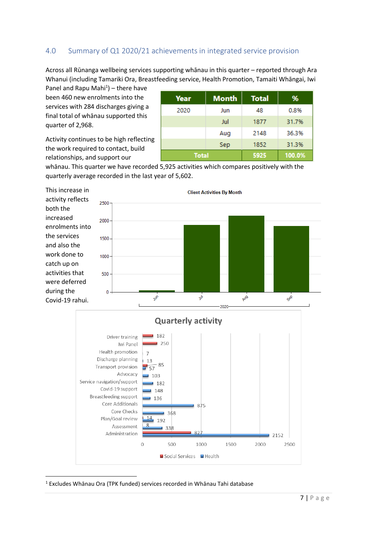#### <span id="page-7-0"></span>4.0 Summary of Q1 2020/21 achievements in integrated service provision

Across all Rūnanga wellbeing services supporting whānau in this quarter – reported through Ara Whanui (including Tamariki Ora, Breastfeeding service, Health Promotion, Tamaiti Whāngai, Iwi

Panel and Rapu Mahi $1$ ) – there have been 460 new enrolments into the services with 284 discharges giving a final total of whānau supported this quarter of 2,968.

Activity continues to be high reflecting the work required to contact, build relationships, and support our

| Year         | <b>Month</b> | <b>Total</b> | %      |
|--------------|--------------|--------------|--------|
| 2020         | Jun          | 48           | 0.8%   |
|              | Jul          | 1877         | 31.7%  |
|              | Aug          | 2148         | 36.3%  |
|              | Sep          | 1852         | 31.3%  |
| <b>Total</b> |              | 5925         | 100.0% |

whānau. This quarter we have recorded 5,925 activities which compares positively with the quarterly average recorded in the last year of 5,602.

This increase in activity reflects both the increased enrolments into the services and also the work done to catch up on activities that were deferred during the Covid-19 rahui.



<sup>1</sup> Excludes Whānau Ora (TPK funded) services recorded in Whānau Tahi database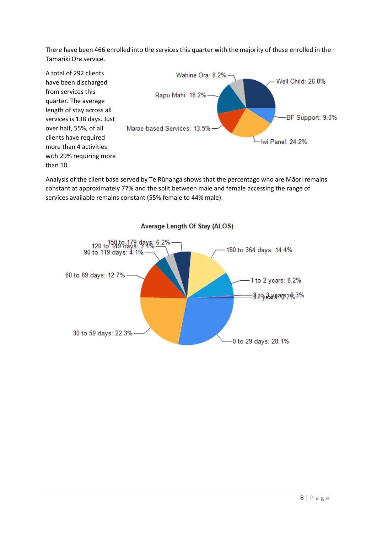There have been 466 enrolled into the services this quarter with the majority of these enrolled in the Tamariki Ora service.



Analysis of the client base served by Te Rūnanga shows that the percentage who are Māori remains constant at approximately 77% and the split between male and female accessing the range of services available remains constant (55% female to 44% male).



Average Length Of Stay (ALOS)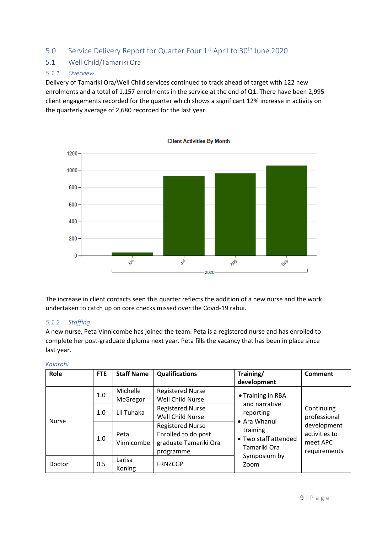#### <span id="page-9-0"></span>5.0 Service Delivery Report for Quarter Four 1<sup>st</sup> April to 30<sup>th</sup> June 2020

#### <span id="page-9-1"></span>5.1 Well Child/Tamariki Ora

#### *5.1.1 Overview*

Delivery of Tamariki Ora/Well Child services continued to track ahead of target with 122 new enrolments and a total of 1,157 enrolments in the service at the end of Q1. There have been 2,995 client engagements recorded for the quarter which shows a significant 12% increase in activity on the quarterly average of 2,680 recorded for the last year.



The increase in client contacts seen this quarter reflects the addition of a new nurse and the work undertaken to catch up on core checks missed over the Covid-19 rahui.

#### *5.1.2 Staffing*

A new nurse, Peta Vinnicombe has joined the team. Peta is a registered nurse and has enrolled to complete her post-graduate diploma next year. Peta fills the vacancy that has been in place since last year.

| Role         | <b>FTE</b> | <b>Staff Name</b>    | <b>Qualifications</b>                                                                | Training/                                                                                                                                   | <b>Comment</b>                                                                         |
|--------------|------------|----------------------|--------------------------------------------------------------------------------------|---------------------------------------------------------------------------------------------------------------------------------------------|----------------------------------------------------------------------------------------|
|              |            |                      |                                                                                      | development                                                                                                                                 |                                                                                        |
|              | 1.0        | Michelle<br>McGregor | <b>Registered Nurse</b><br>Well Child Nurse                                          | • Training in RBA<br>and narrative<br>reporting<br>• Ara Whanui<br>training<br>• Two staff attended<br>Tamariki Ora<br>Symposium by<br>Zoom | Continuing<br>professional<br>development<br>activities to<br>meet APC<br>requirements |
|              | 1.0        | Lil Tuhaka           | <b>Registered Nurse</b><br>Well Child Nurse                                          |                                                                                                                                             |                                                                                        |
| <b>Nurse</b> | 1.0        | Peta<br>Vinnicombe   | <b>Registered Nurse</b><br>Enrolled to do post<br>graduate Tamariki Ora<br>programme |                                                                                                                                             |                                                                                        |
| Doctor       | 0.5        | Larisa<br>Koning     | <b>FRNZCGP</b>                                                                       |                                                                                                                                             |                                                                                        |

#### *Kaiarahi*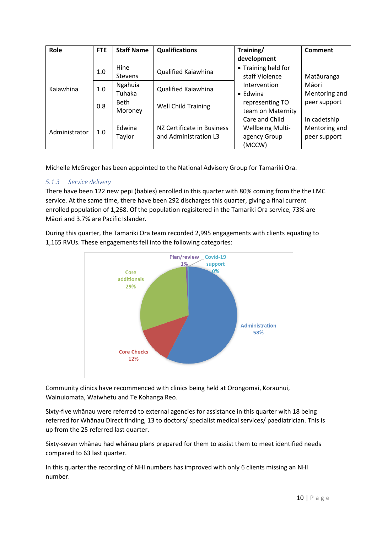| Role          | <b>FTE</b> | <b>Staff Name</b> | <b>Qualifications</b>      | Training/               | <b>Comment</b> |
|---------------|------------|-------------------|----------------------------|-------------------------|----------------|
|               |            |                   |                            | development             |                |
|               | 1.0        | Hine              | Qualified Kaiawhina        | • Training held for     |                |
|               |            | <b>Stevens</b>    |                            | staff Violence          | Matāuranga     |
| Kaiawhina     | 1.0        | Ngahuia           | Qualified Kaiawhina        | Intervention            | Māori          |
|               |            | Tuhaka            |                            | $\bullet$ Edwina        | Mentoring and  |
|               | 0.8        | <b>Beth</b>       |                            | representing TO         | peer support   |
|               |            | Moroney           | <b>Well Child Training</b> | team on Maternity       |                |
|               | 1.0        |                   |                            | Care and Child          | In cadetship   |
| Administrator |            | Edwina            | NZ Certificate in Business | <b>Wellbeing Multi-</b> | Mentoring and  |
|               |            | Taylor            | and Administration L3      | agency Group            | peer support   |
|               |            |                   |                            | (MCCW)                  |                |

Michelle McGregor has been appointed to the National Advisory Group for Tamariki Ora.

#### *5.1.3 Service delivery*

There have been 122 new pepi (babies) enrolled in this quarter with 80% coming from the the LMC service. At the same time, there have been 292 discharges this quarter, giving a final current enrolled population of 1,268. Of the population regisitered in the Tamariki Ora service, 73% are Māori and 3.7% are Pacific Islander.

During this quarter, the Tamariki Ora team recorded 2,995 engagements with clients equating to 1,165 RVUs. These engagements fell into the following categories:



Community clinics have recommenced with clinics being held at Orongomai, Koraunui, Wainuiomata, Waiwhetu and Te Kohanga Reo.

Sixty-five whānau were referred to external agencies for assistance in this quarter with 18 being referred for Whānau Direct finding, 13 to doctors/ specialist medical services/ paediatrician. This is up from the 25 referred last quarter.

Sixty-seven whānau had whānau plans prepared for them to assist them to meet identified needs compared to 63 last quarter.

In this quarter the recording of NHI numbers has improved with only 6 clients missing an NHI number.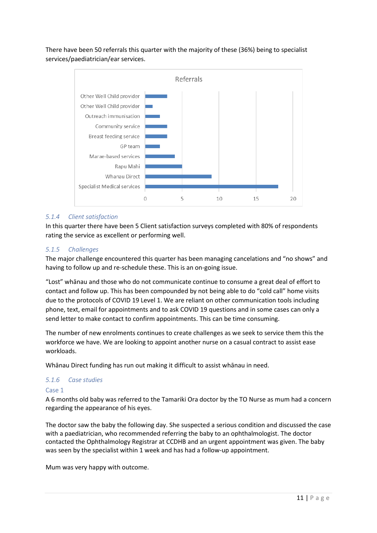There have been 50 referrals this quarter with the majority of these (36%) being to specialist services/paediatrician/ear services.



#### *5.1.4 Client satisfaction*

In this quarter there have been 5 Client satisfaction surveys completed with 80% of respondents rating the service as excellent or performing well.

#### *5.1.5 Challenges*

The major challenge encountered this quarter has been managing cancelations and "no shows" and having to follow up and re-schedule these. This is an on-going issue.

"Lost" whānau and those who do not communicate continue to consume a great deal of effort to contact and follow up. This has been compounded by not being able to do "cold call" home visits due to the protocols of COVID 19 Level 1. We are reliant on other communication tools including phone, text, email for appointments and to ask COVID 19 questions and in some cases can only a send letter to make contact to confirm appointments. This can be time consuming.

The number of new enrolments continues to create challenges as we seek to service them this the workforce we have. We are looking to appoint another nurse on a casual contract to assist ease workloads.

Whānau Direct funding has run out making it difficult to assist whānau in need.

#### *5.1.6 Case studies*

#### Case 1

A 6 months old baby was referred to the Tamariki Ora doctor by the TO Nurse as mum had a concern regarding the appearance of his eyes.

The doctor saw the baby the following day. She suspected a serious condition and discussed the case with a paediatrician, who recommended referring the baby to an ophthalmologist. The doctor contacted the Ophthalmology Registrar at CCDHB and an urgent appointment was given. The baby was seen by the specialist within 1 week and has had a follow-up appointment.

Mum was very happy with outcome.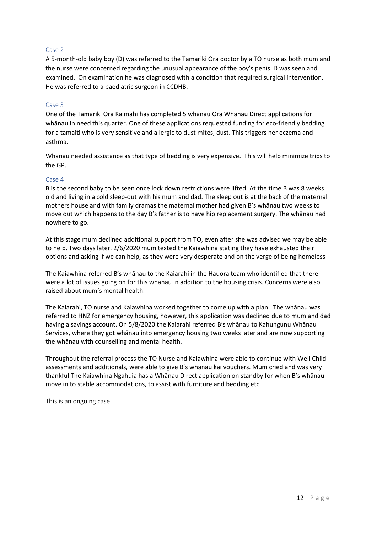#### Case 2

A 5-month-old baby boy (D) was referred to the Tamariki Ora doctor by a TO nurse as both mum and the nurse were concerned regarding the unusual appearance of the boy's penis. D was seen and examined. On examination he was diagnosed with a condition that required surgical intervention. He was referred to a paediatric surgeon in CCDHB.

#### Case 3

One of the Tamariki Ora Kaimahi has completed 5 whānau Ora Whānau Direct applications for whānau in need this quarter. One of these applications requested funding for eco-friendly bedding for a tamaiti who is very sensitive and allergic to dust mites, dust. This triggers her eczema and asthma.

Whānau needed assistance as that type of bedding is very expensive. This will help minimize trips to the GP.

#### Case 4

B is the second baby to be seen once lock down restrictions were lifted. At the time B was 8 weeks old and living in a cold sleep-out with his mum and dad. The sleep out is at the back of the maternal mothers house and with family dramas the maternal mother had given B's whānau two weeks to move out which happens to the day B's father is to have hip replacement surgery. The whānau had nowhere to go.

At this stage mum declined additional support from TO, even after she was advised we may be able to help. Two days later, 2/6/2020 mum texted the Kaiawhina stating they have exhausted their options and asking if we can help, as they were very desperate and on the verge of being homeless

The Kaiawhina referred B's whānau to the Kaiarahi in the Hauora team who identified that there were a lot of issues going on for this whānau in addition to the housing crisis. Concerns were also raised about mum's mental health.

The Kaiarahi, TO nurse and Kaiawhina worked together to come up with a plan. The whānau was referred to HNZ for emergency housing, however, this application was declined due to mum and dad having a savings account. On 5/8/2020 the Kaiarahi referred B's whānau to Kahungunu Whānau Services, where they got whānau into emergency housing two weeks later and are now supporting the whānau with counselling and mental health.

Throughout the referral process the TO Nurse and Kaiawhina were able to continue with Well Child assessments and additionals, were able to give B's whānau kai vouchers. Mum cried and was very thankful The Kaiawhina Ngahuia has a Whānau Direct application on standby for when B's whānau move in to stable accommodations, to assist with furniture and bedding etc.

This is an ongoing case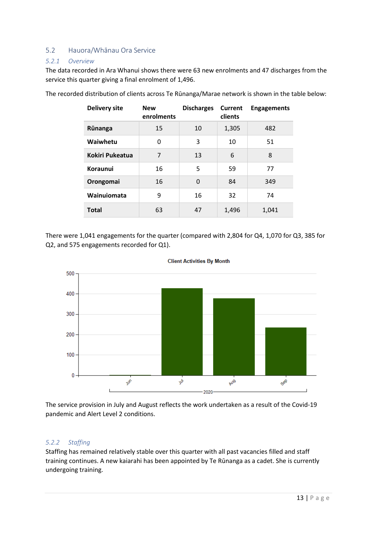#### <span id="page-13-0"></span>5.2 Hauora/Whānau Ora Service

#### *5.2.1 Overview*

The data recorded in Ara Whanui shows there were 63 new enrolments and 47 discharges from the service this quarter giving a final enrolment of 1,496.

| <b>Delivery site</b>   | <b>New</b><br>enrolments | <b>Discharges</b> | Current<br>clients | <b>Engagements</b> |
|------------------------|--------------------------|-------------------|--------------------|--------------------|
| Rūnanga                | 15                       | 10                | 1,305              | 482                |
| Waiwhetu               | 0                        | 3                 | 10                 | 51                 |
| <b>Kokiri Pukeatua</b> | 7                        | 13                | 6                  | 8                  |
| Koraunui               | 16                       | 5                 | 59                 | 77                 |
| Orongomai              | 16                       | 0                 | 84                 | 349                |
| Wainuiomata            | 9                        | 16                | 32                 | 74                 |
| <b>Total</b>           | 63                       | 47                | 1,496              | 1,041              |

The recorded distribution of clients across Te Rūnanga/Marae network is shown in the table below:

There were 1,041 engagements for the quarter (compared with 2,804 for Q4, 1,070 for Q3, 385 for Q2, and 575 engagements recorded for Q1).





The service provision in July and August reflects the work undertaken as a result of the Covid-19 pandemic and Alert Level 2 conditions.

#### *5.2.2 Staffing*

Staffing has remained relatively stable over this quarter with all past vacancies filled and staff training continues. A new kaiarahi has been appointed by Te Rūnanga as a cadet. She is currently undergoing training.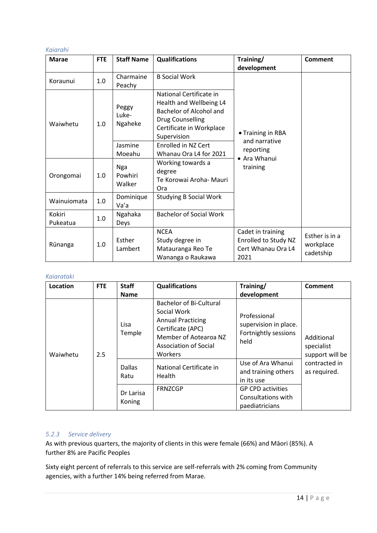#### *Kaiarahi*

| <b>Marae</b>       | <b>FTE</b> | <b>Staff Name</b>                    | <b>Qualifications</b>                                                                                                                                                             | Training/                                                               | <b>Comment</b>                           |
|--------------------|------------|--------------------------------------|-----------------------------------------------------------------------------------------------------------------------------------------------------------------------------------|-------------------------------------------------------------------------|------------------------------------------|
|                    |            |                                      |                                                                                                                                                                                   | development                                                             |                                          |
| Koraunui           | 1.0        | Charmaine<br>Peachy                  | <b>B</b> Social Work                                                                                                                                                              |                                                                         |                                          |
| Waiwhetu           | 1.0        | Peggy<br>Luke-<br>Ngaheke<br>Jasmine | National Certificate in<br>Health and Wellbeing L4<br>Bachelor of Alcohol and<br><b>Drug Counselling</b><br>Certificate in Workplace<br>Supervision<br><b>Enrolled in NZ Cert</b> | • Training in RBA<br>and narrative                                      |                                          |
|                    |            | Moeahu                               | Whanau Ora L4 for 2021                                                                                                                                                            | reporting                                                               |                                          |
| Orongomai          | 1.0        | <b>Nga</b><br>Powhiri<br>Walker      | Working towards a<br>degree<br>Te Korowai Aroha- Mauri<br>Ora                                                                                                                     | • Ara Whanui<br>training                                                |                                          |
| Wainuiomata        | 1.0        | Dominique<br>Va'a                    | <b>Studying B Social Work</b>                                                                                                                                                     |                                                                         |                                          |
| Kokiri<br>Pukeatua | 1.0        | Ngahaka<br>Deys                      | <b>Bachelor of Social Work</b>                                                                                                                                                    |                                                                         |                                          |
| Rūnanga            | 1.0        | Esther<br>Lambert                    | <b>NCEA</b><br>Study degree in<br>Matauranga Reo Te<br>Wananga o Raukawa                                                                                                          | Cadet in training<br>Enrolled to Study NZ<br>Cert Whanau Ora L4<br>2021 | Esther is in a<br>workplace<br>cadetship |

#### *Kaiarataki*

| Location | <b>FTE</b> | <b>Staff</b><br><b>Name</b> | <b>Qualifications</b>                                                                                                                                       | Training/<br>development                                              | <b>Comment</b>                                                               |
|----------|------------|-----------------------------|-------------------------------------------------------------------------------------------------------------------------------------------------------------|-----------------------------------------------------------------------|------------------------------------------------------------------------------|
| Waiwhetu | 2.5        | Lisa<br>Temple              | <b>Bachelor of Bi-Cultural</b><br>Social Work<br><b>Annual Practicing</b><br>Certificate (APC)<br>Member of Aotearoa NZ<br>Association of Social<br>Workers | Professional<br>supervision in place.<br>Fortnightly sessions<br>held | Additional<br>specialist<br>support will be<br>contracted in<br>as required. |
|          |            | <b>Dallas</b><br>Ratu       | National Certificate in<br>Health                                                                                                                           | Use of Ara Whanui<br>and training others<br>in its use                |                                                                              |
|          |            | Dr Larisa<br>Koning         | <b>FRNZCGP</b>                                                                                                                                              | <b>GP CPD activities</b><br>Consultations with<br>paediatricians      |                                                                              |

#### *5.2.3 Service delivery*

As with previous quarters, the majority of clients in this were female (66%) and Māori (85%). A further 8% are Pacific Peoples

Sixty eight percent of referrals to this service are self-referrals with 2% coming from Community agencies, with a further 14% being referred from Marae.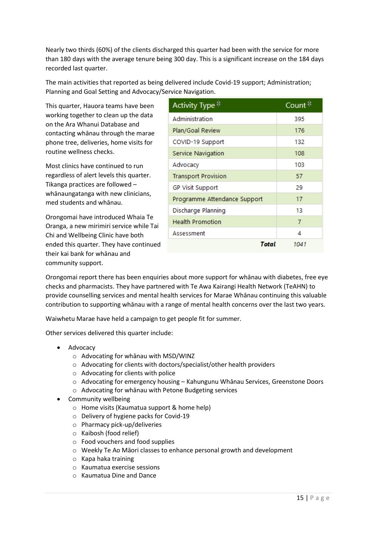Nearly two thirds (60%) of the clients discharged this quarter had been with the service for more than 180 days with the average tenure being 300 day. This is a significant increase on the 184 days recorded last quarter.

The main activities that reported as being delivered include Covid-19 support; Administration; Planning and Goal Setting and Advocacy/Service Navigation.

This quarter, Hauora teams have been working together to clean up the data on the Ara Whanui Database and contacting whānau through the marae phone tree, deliveries, home visits for routine wellness checks.

Most clinics have continued to run regardless of alert levels this quarter. Tikanga practices are followed – whānaungatanga with new clinicians, med students and whānau.

Orongomai have introduced Whaia Te Oranga, a new mirimiri service while Tai Chi and Wellbeing Clinic have both ended this quarter. They have continued their kai bank for whānau and community support.

| Activity Type $\stackrel{\ominus}{\circ}$ | Count $\stackrel{\ominus}{\triangleright}$ |
|-------------------------------------------|--------------------------------------------|
| Administration                            | 395                                        |
| Plan/Goal Review                          | 176                                        |
| COVID-19 Support                          | 132                                        |
| Service Navigation                        | 108                                        |
| Advocacy                                  | 103                                        |
| <b>Transport Provision</b>                | 57                                         |
| <b>GP Visit Support</b>                   | 29                                         |
| Programme Attendance Support              | 17                                         |
| Discharge Planning                        | 13                                         |
| <b>Health Promotion</b>                   | 7                                          |
| Assessment                                | 4                                          |
| Total                                     | 1041                                       |

Orongomai report there has been enquiries about more support for whānau with diabetes, free eye checks and pharmacists. They have partnered with Te Awa Kairangi Health Network (TeAHN) to provide counselling services and mental health services for Marae Whānau continuing this valuable contribution to supporting whānau with a range of mental health concerns over the last two years.

Waiwhetu Marae have held a campaign to get people fit for summer.

Other services delivered this quarter include:

- Advocacy
	- o Advocating for whānau with MSD/WINZ
	- o Advocating for clients with doctors/specialist/other health providers
	- o Advocating for clients with police
	- $\circ$  Advocating for emergency housing Kahungunu Whānau Services, Greenstone Doors
	- o Advocating for whānau with Petone Budgeting services
- Community wellbeing
	- o Home visits (Kaumatua support & home help)
	- o Delivery of hygiene packs for Covid-19
	- o Pharmacy pick-up/deliveries
	- o Kaibosh (food relief)
	- o Food vouchers and food supplies
	- o Weekly Te Ao Māori classes to enhance personal growth and development
	- o Kapa haka training
	- o Kaumatua exercise sessions
	- o Kaumatua Dine and Dance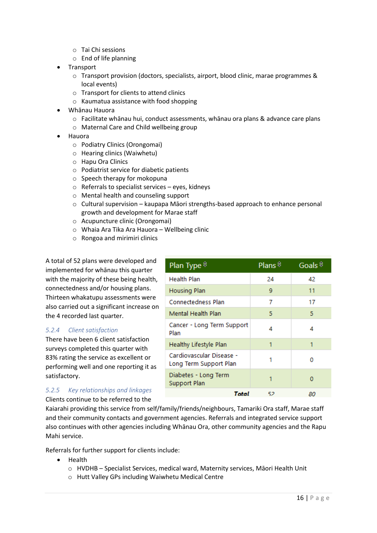- o Tai Chi sessions
- o End of life planning
- **Transport** 
	- $\circ$  Transport provision (doctors, specialists, airport, blood clinic, marae programmes & local events)
	- o Transport for clients to attend clinics
	- o Kaumatua assistance with food shopping
- Whānau Hauora
	- $\circ$  Facilitate whānau hui, conduct assessments, whānau ora plans & advance care plans
	- o Maternal Care and Child wellbeing group
- Hauora
	- o Podiatry Clinics (Orongomai)
	- o Hearing clinics (Waiwhetu)
	- o Hapu Ora Clinics
	- o Podiatrist service for diabetic patients
	- o Speech therapy for mokopuna
	- o Referrals to specialist services eyes, kidneys
	- o Mental health and counseling support
	- o Cultural supervision kaupapa Māori strengths-based approach to enhance personal growth and development for Marae staff

Plan Type  $\hat{z}$ 

**Health Plan** 

- o Acupuncture clinic (Orongomai)
- o Whaia Ara Tika Ara Hauora Wellbeing clinic
- o Rongoa and mirimiri clinics

A total of 52 plans were developed and implemented for whānau this quarter with the majority of these being health, connectedness and/or housing plans. Thirteen whakatupu assessments were also carried out a significant increase on the 4 recorded last quarter.

#### *5.2.4 Client satisfaction*

There have been 6 client satisfaction surveys completed this quarter with 83% rating the service as excellent or performing well and one reporting it as satisfactory.

#### *5.2.5 Key relationships and linkages*

Clients continue to be referred to the

Q. **Housing Plan**  $11$ **Connectedness Plan**  $\overline{7}$ 17 5 Mental Health Plan 5 Cancer - Long Term Support  $\overline{4}$ 4 Plan **Healthy Lifestyle Plan** 1 1 Cardiovascular Disease - $\Omega$ п Long Term Support Plan Diabetes - Long Term  $\mathbf{1}$  $\mathbf{0}$ Support Plan **Total** -52 80

Plans $\frac{6}{7}$ 

24

Goals  $\stackrel{\scriptscriptstyle \ominus}{\scriptscriptstyle \sim}$ 

42

Kaiarahi providing this service from self/family/friends/neighbours, Tamariki Ora staff, Marae staff and their community contacts and government agencies. Referrals and integrated service support also continues with other agencies including Whānau Ora, other community agencies and the Rapu Mahi service.

Referrals for further support for clients include:

- Health
	- o HVDHB Specialist Services, medical ward, Maternity services, Māori Health Unit
	- o Hutt Valley GPs including Waiwhetu Medical Centre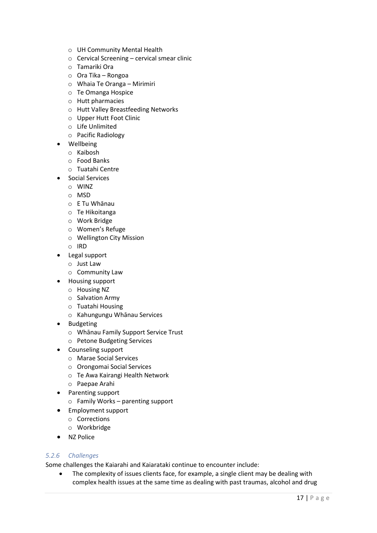- o UH Community Mental Health
- o Cervical Screening cervical smear clinic
- o Tamariki Ora
- o Ora Tika Rongoa
- o Whaia Te Oranga Mirimiri
- o Te Omanga Hospice
- o Hutt pharmacies
- o Hutt Valley Breastfeeding Networks
- o Upper Hutt Foot Clinic
- o Life Unlimited
- o Pacific Radiology
- Wellbeing
	- o Kaibosh
	- o Food Banks
	- o Tuatahi Centre
- Social Services
	- o WINZ
	- o MSD
	- o E Tu Whānau
	- o Te Hikoitanga
	- o Work Bridge
	- o Women's Refuge
	- o Wellington City Mission
	- o IRD
- Legal support
	- o Just Law
	- o Community Law
- Housing support
	- o Housing NZ
	- o Salvation Army
	- o Tuatahi Housing
	- o Kahungungu Whānau Services
- Budgeting
	- o Whānau Family Support Service Trust
	- o Petone Budgeting Services
- Counseling support
	- o Marae Social Services
	- o Orongomai Social Services
	- o Te Awa Kairangi Health Network
	- o Paepae Arahi
- Parenting support
	- o Family Works parenting support
- Employment support
	- o Corrections
	- o Workbridge
- NZ Police

#### *5.2.6 Challenges*

Some challenges the Kaiarahi and Kaiarataki continue to encounter include:

• The complexity of issues clients face, for example, a single client may be dealing with complex health issues at the same time as dealing with past traumas, alcohol and drug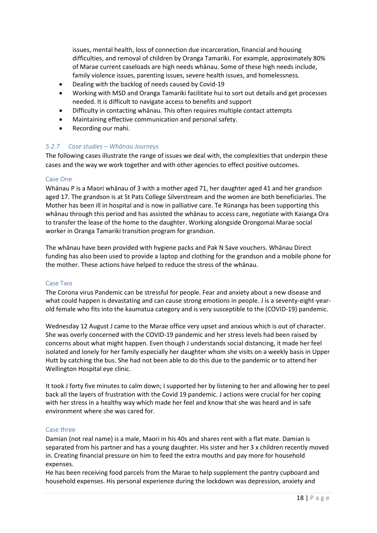issues, mental health, loss of connection due incarceration, financial and housing difficulties, and removal of children by Oranga Tamariki. For example, approximately 80% of Marae current caseloads are high needs whānau. Some of these high needs include, family violence issues, parenting issues, severe health issues, and homelessness.

- Dealing with the backlog of needs caused by Covid-19
- Working with MSD and Oranga Tamariki facilitate hui to sort out details and get processes needed. It is difficult to navigate access to benefits and support
- Difficulty in contacting whānau. This often requires multiple contact attempts
- Maintaining effective communication and personal safety.
- Recording our mahi.

#### *5.2.7 Case studies – Whānau Journeys*

The following cases illustrate the range of issues we deal with, the complexities that underpin these cases and the way we work together and with other agencies to effect positive outcomes.

#### Case One

Whānau P is a Maori whānau of 3 with a mother aged 71, her daughter aged 41 and her grandson aged 17. The grandson is at St Pats College Silverstream and the women are both beneficiaries. The Mother has been ill in hospital and is now in palliative care. Te Rūnanga has been supporting this whānau through this period and has assisted the whānau to access care, negotiate with Kaianga Ora to transfer the lease of the home to the daughter. Working alongside Orongomai Marae social worker in Oranga Tamariki transition program for grandson.

The whānau have been provided with hygiene packs and Pak N Save vouchers. Whānau Direct funding has also been used to provide a laptop and clothing for the grandson and a mobile phone for the mother. These actions have helped to reduce the stress of the whānau.

#### Case Two

The Corona virus Pandemic can be stressful for people. Fear and anxiety about a new disease and what could happen is devastating and can cause strong emotions in people. J is a seventy-eight-yearold female who fits into the kaumatua category and is very susceptible to the (COVID-19) pandemic.

Wednesday 12 August J came to the Marae office very upset and anxious which is out of character. She was overly concerned with the COVID-19 pandemic and her stress levels had been raised by concerns about what might happen. Even though J understands social distancing, it made her feel isolated and lonely for her family especially her daughter whom she visits on a weekly basis in Upper Hutt by catching the bus. She had not been able to do this due to the pandemic or to attend her Wellington Hospital eye clinic.

It took J forty five minutes to calm down; I supported her by listening to her and allowing her to peel back all the layers of frustration with the Covid 19 pandemic. J actions were crucial for her coping with her stress in a healthy way which made her feel and know that she was heard and in safe environment where she was cared for.

#### Case three

Damian (not real name) is a male, Maori in his 40s and shares rent with a flat mate. Damian is separated from his partner and has a young daughter. His sister and her 3 x children recently moved in. Creating financial pressure on him to feed the extra mouths and pay more for household expenses.

He has been receiving food parcels from the Marae to help supplement the pantry cupboard and household expenses. His personal experience during the lockdown was depression, anxiety and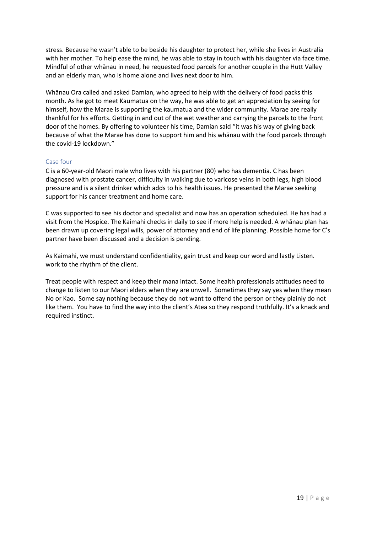stress. Because he wasn't able to be beside his daughter to protect her, while she lives in Australia with her mother. To help ease the mind, he was able to stay in touch with his daughter via face time. Mindful of other whānau in need, he requested food parcels for another couple in the Hutt Valley and an elderly man, who is home alone and lives next door to him.

Whānau Ora called and asked Damian, who agreed to help with the delivery of food packs this month. As he got to meet Kaumatua on the way, he was able to get an appreciation by seeing for himself, how the Marae is supporting the kaumatua and the wider community. Marae are really thankful for his efforts. Getting in and out of the wet weather and carrying the parcels to the front door of the homes. By offering to volunteer his time, Damian said "it was his way of giving back because of what the Marae has done to support him and his whānau with the food parcels through the covid-19 lockdown."

#### Case four

C is a 60-year-old Maori male who lives with his partner (80) who has dementia. C has been diagnosed with prostate cancer, difficulty in walking due to varicose veins in both legs, high blood pressure and is a silent drinker which adds to his health issues. He presented the Marae seeking support for his cancer treatment and home care.

C was supported to see his doctor and specialist and now has an operation scheduled. He has had a visit from the Hospice. The Kaimahi checks in daily to see if more help is needed. A whānau plan has been drawn up covering legal wills, power of attorney and end of life planning. Possible home for C's partner have been discussed and a decision is pending.

As Kaimahi, we must understand confidentiality, gain trust and keep our word and lastly Listen. work to the rhythm of the client.

Treat people with respect and keep their mana intact. Some health professionals attitudes need to change to listen to our Maori elders when they are unwell. Sometimes they say yes when they mean No or Kao. Some say nothing because they do not want to offend the person or they plainly do not like them. You have to find the way into the client's Atea so they respond truthfully. It's a knack and required instinct.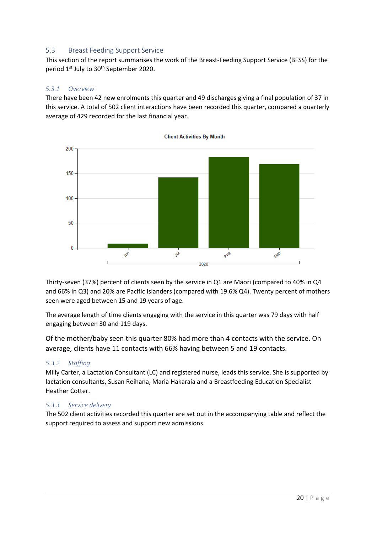#### <span id="page-20-0"></span>5.3 Breast Feeding Support Service

This section of the report summarises the work of the Breast-Feeding Support Service (BFSS) for the period 1<sup>st</sup> July to 30<sup>th</sup> September 2020.

#### *5.3.1 Overview*

There have been 42 new enrolments this quarter and 49 discharges giving a final population of 37 in this service. A total of 502 client interactions have been recorded this quarter, compared a quarterly average of 429 recorded for the last financial year.



Thirty-seven (37%) percent of clients seen by the service in Q1 are Māori (compared to 40% in Q4 and 66% in Q3) and 20% are Pacific Islanders (compared with 19.6% Q4). Twenty percent of mothers seen were aged between 15 and 19 years of age.

The average length of time clients engaging with the service in this quarter was 79 days with half engaging between 30 and 119 days.

Of the mother/baby seen this quarter 80% had more than 4 contacts with the service. On average, clients have 11 contacts with 66% having between 5 and 19 contacts.

#### *5.3.2 Staffing*

Milly Carter, a Lactation Consultant (LC) and registered nurse, leads this service. She is supported by lactation consultants, Susan Reihana, Maria Hakaraia and a Breastfeeding Education Specialist Heather Cotter.

#### *5.3.3 Service delivery*

The 502 client activities recorded this quarter are set out in the accompanying table and reflect the support required to assess and support new admissions.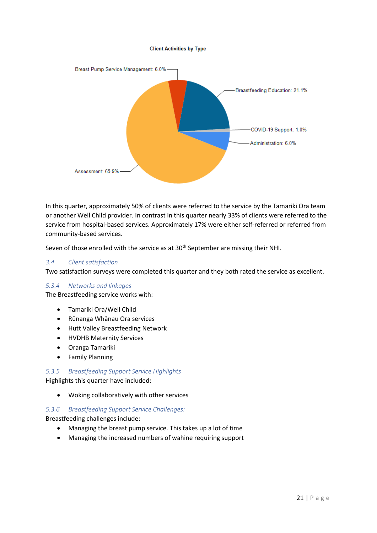#### **Client Activities by Type**



In this quarter, approximately 50% of clients were referred to the service by the Tamariki Ora team or another Well Child provider. In contrast in this quarter nearly 33% of clients were referred to the service from hospital-based services. Approximately 17% were either self-referred or referred from community-based services.

Seven of those enrolled with the service as at 30<sup>th</sup> September are missing their NHI.

#### *3.4 Client satisfaction*

Two satisfaction surveys were completed this quarter and they both rated the service as excellent.

#### *5.3.4 Networks and linkages*

The Breastfeeding service works with:

- Tamariki Ora/Well Child
- Rūnanga Whānau Ora services
- Hutt Valley Breastfeeding Network
- HVDHB Maternity Services
- Oranga Tamariki
- Family Planning

#### *5.3.5 Breastfeeding Support Service Highlights*

Highlights this quarter have included:

• Woking collaboratively with other services

#### *5.3.6 Breastfeeding Support Service Challenges:*

Breastfeeding challenges include:

- Managing the breast pump service. This takes up a lot of time
- Managing the increased numbers of wahine requiring support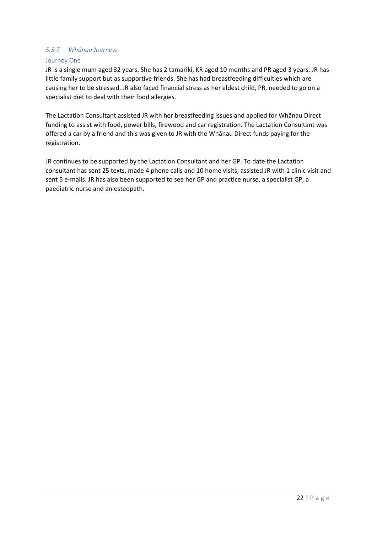#### *5.3.7 Whānau Journeys*

#### Journey One

JR is a single mum aged 32 years. She has 2 tamariki, KR aged 10 months and PR aged 3 years. JR has little family support but as supportive friends. She has had breastfeeding difficulties which are causing her to be stressed. JR also faced financial stress as her eldest child, PR, needed to go on a specialist diet to deal with their food allergies.

The Lactation Consultant assisted JR with her breastfeeding issues and applied for Whānau Direct funding to assist with food, power bills, firewood and car registration. The Lactation Consultant was offered a car by a friend and this was given to JR with the Whānau Direct funds paying for the registration.

JR continues to be supported by the Lactation Consultant and her GP. To date the Lactation consultant has sent 25 texts, made 4 phone calls and 10 home visits, assisted JR with 1 clinic visit and sent 5 e-mails. JR has also been supported to see her GP and practice nurse, a specialist GP, a paediatric nurse and an osteopath.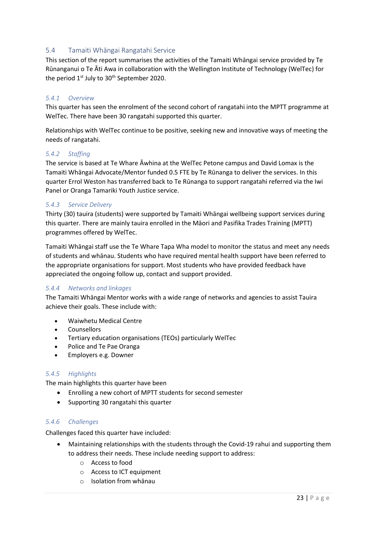#### <span id="page-23-0"></span>5.4 Tamaiti Whāngai Rangatahi Service

This section of the report summarises the activities of the Tamaiti Whāngai service provided by Te Rūnanganui o Te Āti Awa in collaboration with the Wellington Institute of Technology (WelTec) for the period  $1<sup>st</sup>$  July to 30<sup>th</sup> September 2020.

#### *5.4.1 Overview*

This quarter has seen the enrolment of the second cohort of rangatahi into the MPTT programme at WelTec. There have been 30 rangatahi supported this quarter.

Relationships with WelTec continue to be positive, seeking new and innovative ways of meeting the needs of rangatahi.

#### *5.4.2 Staffing*

The service is based at Te Whare Āwhina at the WelTec Petone campus and David Lomax is the Tamaiti Whāngai Advocate/Mentor funded 0.5 FTE by Te Rūnanga to deliver the services. In this quarter Errol Weston has transferred back to Te Rūnanga to support rangatahi referred via the Iwi Panel or Oranga Tamariki Youth Justice service.

#### *5.4.3 Service Delivery*

Thirty (30) tauira (students) were supported by Tamaiti Whāngai wellbeing support services during this quarter. There are mainly tauira enrolled in the Māori and Pasifika Trades Training (MPTT) programmes offered by WelTec.

Tamaiti Whāngai staff use the Te Whare Tapa Wha model to monitor the status and meet any needs of students and whānau. Students who have required mental health support have been referred to the appropriate organisations for support. Most students who have provided feedback have appreciated the ongoing follow up, contact and support provided.

#### *5.4.4 Networks and linkages*

The Tamaiti Whāngai Mentor works with a wide range of networks and agencies to assist Tauira achieve their goals. These include with:

- Waiwhetu Medical Centre
- Counsellors
- Tertiary education organisations (TEOs) particularly WelTec
- Police and Te Pae Oranga
- Employers e.g. Downer

#### *5.4.5 Highlights*

The main highlights this quarter have been

- Enrolling a new cohort of MPTT students for second semester
- Supporting 30 rangatahi this quarter

#### *5.4.6 Challenges*

Challenges faced this quarter have included:

- Maintaining relationships with the students through the Covid-19 rahui and supporting them to address their needs. These include needing support to address:
	- o Access to food
	- o Access to ICT equipment
	- o Isolation from whānau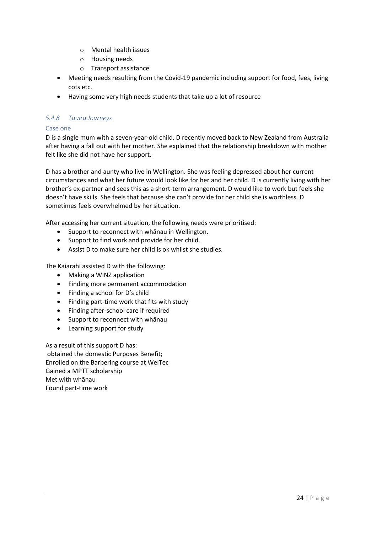- o Mental health issues
- o Housing needs
- o Transport assistance
- Meeting needs resulting from the Covid-19 pandemic including support for food, fees, living cots etc.
- Having some very high needs students that take up a lot of resource

#### *5.4.8 Tauira Journeys*

#### Case one

D is a single mum with a seven-year-old child. D recently moved back to New Zealand from Australia after having a fall out with her mother. She explained that the relationship breakdown with mother felt like she did not have her support.

D has a brother and aunty who live in Wellington. She was feeling depressed about her current circumstances and what her future would look like for her and her child. D is currently living with her brother's ex-partner and sees this as a short-term arrangement. D would like to work but feels she doesn't have skills. She feels that because she can't provide for her child she is worthless. D sometimes feels overwhelmed by her situation.

After accessing her current situation, the following needs were prioritised:

- Support to reconnect with whānau in Wellington.
- Support to find work and provide for her child.
- Assist D to make sure her child is ok whilst she studies.

The Kaiarahi assisted D with the following:

- Making a WINZ application
- Finding more permanent accommodation
- Finding a school for D's child
- Finding part-time work that fits with study
- Finding after-school care if required
- Support to reconnect with whānau
- Learning support for study

As a result of this support D has: obtained the domestic Purposes Benefit; Enrolled on the Barbering course at WelTec Gained a MPTT scholarship Met with whānau Found part-time work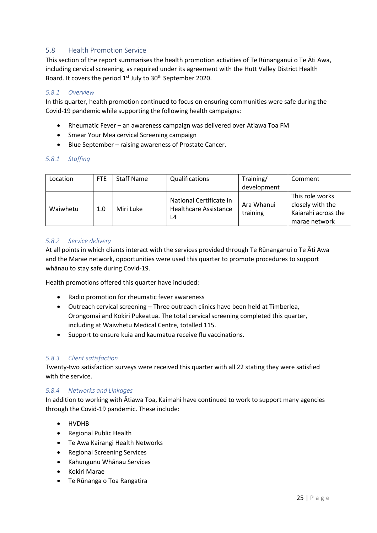#### <span id="page-25-0"></span>5.8 Health Promotion Service

This section of the report summarises the health promotion activities of Te Rūnanganui o Te Āti Awa, including cervical screening, as required under its agreement with the Hutt Valley District Health Board. It covers the period 1<sup>st</sup> July to 30<sup>th</sup> September 2020.

#### *5.8.1 Overview*

In this quarter, health promotion continued to focus on ensuring communities were safe during the Covid-19 pandemic while supporting the following health campaigns:

- Rheumatic Fever an awareness campaign was delivered over Atiawa Toa FM
- Smear Your Mea cervical Screening campaign
- Blue September raising awareness of Prostate Cancer.

#### *5.8.1 Staffing*

| Location | FTE. | <b>Staff Name</b> | Qualifications                                         | Training/              | Comment                                                                     |
|----------|------|-------------------|--------------------------------------------------------|------------------------|-----------------------------------------------------------------------------|
|          |      |                   |                                                        | development            |                                                                             |
| Waiwhetu | 1.0  | Miri Luke         | National Certificate in<br>Healthcare Assistance<br>14 | Ara Whanui<br>training | This role works<br>closely with the<br>Kaiarahi across the<br>marae network |

#### *5.8.2 Service delivery*

At all points in which clients interact with the services provided through Te Rūnanganui o Te Āti Awa and the Marae network, opportunities were used this quarter to promote procedures to support whānau to stay safe during Covid-19.

Health promotions offered this quarter have included:

- Radio promotion for rheumatic fever awareness
- Outreach cervical screening Three outreach clinics have been held at Timberlea, Orongomai and Kokiri Pukeatua. The total cervical screening completed this quarter, including at Waiwhetu Medical Centre, totalled 115.
- Support to ensure kuia and kaumatua receive flu vaccinations.

#### *5.8.3 Client satisfaction*

Twenty-two satisfaction surveys were received this quarter with all 22 stating they were satisfied with the service.

#### *5.8.4 Networks and Linkages*

In addition to working with Ātiawa Toa, Kaimahi have continued to work to support many agencies through the Covid-19 pandemic. These include:

- HVDHB
- Regional Public Health
- Te Awa Kairangi Health Networks
- Regional Screening Services
- Kahungunu Whānau Services
- Kokiri Marae
- Te Rūnanga o Toa Rangatira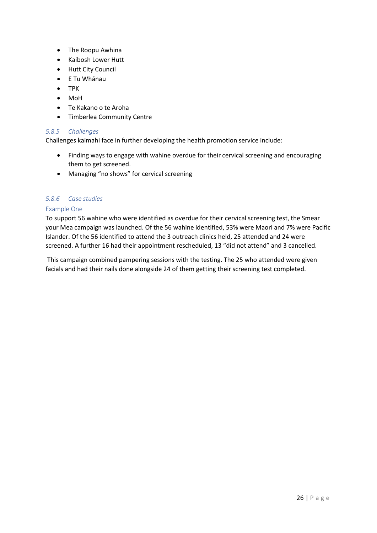- The Roopu Awhina
- Kaibosh Lower Hutt
- Hutt City Council
- E Tu Whānau
- TPK
- MoH
- Te Kakano o te Aroha
- Timberlea Community Centre

#### *5.8.5 Challenges*

Challenges kaimahi face in further developing the health promotion service include:

- Finding ways to engage with wahine overdue for their cervical screening and encouraging them to get screened.
- Managing "no shows" for cervical screening

#### *5.8.6 Case studies*

#### Example One

To support 56 wahine who were identified as overdue for their cervical screening test, the Smear your Mea campaign was launched. Of the 56 wahine identified, 53% were Maori and 7% were Pacific Islander. Of the 56 identified to attend the 3 outreach clinics held, 25 attended and 24 were screened. A further 16 had their appointment rescheduled, 13 "did not attend" and 3 cancelled.

This campaign combined pampering sessions with the testing. The 25 who attended were given facials and had their nails done alongside 24 of them getting their screening test completed.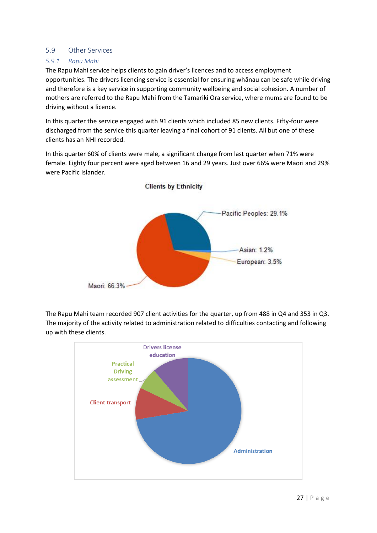#### <span id="page-27-0"></span>5.9 Other Services

#### *5.9.1 Rapu Mahi*

The Rapu Mahi service helps clients to gain driver's licences and to access employment opportunities. The drivers licencing service is essential for ensuring whānau can be safe while driving and therefore is a key service in supporting community wellbeing and social cohesion. A number of mothers are referred to the Rapu Mahi from the Tamariki Ora service, where mums are found to be driving without a licence.

In this quarter the service engaged with 91 clients which included 85 new clients. Fifty-four were discharged from the service this quarter leaving a final cohort of 91 clients. All but one of these clients has an NHI recorded.

In this quarter 60% of clients were male, a significant change from last quarter when 71% were female. Eighty four percent were aged between 16 and 29 years. Just over 66% were Māori and 29% were Pacific Islander.



The Rapu Mahi team recorded 907 client activities for the quarter, up from 488 in Q4 and 353 in Q3. The majority of the activity related to administration related to difficulties contacting and following up with these clients.

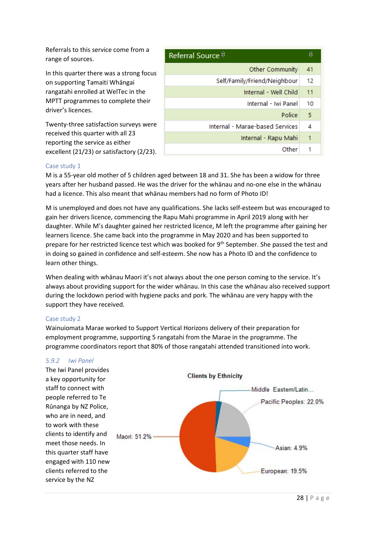Referrals to this service come from a range of sources.

In this quarter there was a strong focus on supporting Tamaiti Whāngai rangatahi enrolled at WelTec in the MPTT programmes to complete their driver's licences.

Twenty-three satisfaction surveys were received this quarter with all 23 reporting the service as either excellent (21/23) or satisfactory (2/23).

| Referral Source $\theta$        | €  |
|---------------------------------|----|
| Other Community                 | 41 |
| Self/Family/Friend/Neighbour    | 12 |
| Internal - Well Child           | 11 |
| Internal - Iwi Panel            | 10 |
| Police                          | 5  |
| Internal - Marae-based Services | 4  |
| Internal - Rapu Mahi            | 1  |
| Other                           |    |

#### Case study 1

M is a 55-year old mother of 5 children aged between 18 and 31. She has been a widow for three years after her husband passed. He was the driver for the whānau and no-one else in the whānau had a licence. This also meant that whānau members had no form of Photo ID!

M is unemployed and does not have any qualifications. She lacks self-esteem but was encouraged to gain her drivers licence, commencing the Rapu Mahi programme in April 2019 along with her daughter. While M's daughter gained her restricted licence, M left the programme after gaining her learners licence. She came back into the programme in May 2020 and has been supported to prepare for her restricted licence test which was booked for 9<sup>th</sup> September. She passed the test and in doing so gained in confidence and self-esteem. She now has a Photo ID and the confidence to learn other things.

When dealing with whānau Maori it's not always about the one person coming to the service. It's always about providing support for the wider whānau. In this case the whānau also received support during the lockdown period with hygiene packs and pork. The whānau are very happy with the support they have received.

#### Case study 2

Wainuiomata Marae worked to Support Vertical Horizons delivery of their preparation for employment programme, supporting 5 rangatahi from the Marae in the programme. The programme coordinators report that 80% of those rangatahi attended transitioned into work.

![](_page_28_Figure_10.jpeg)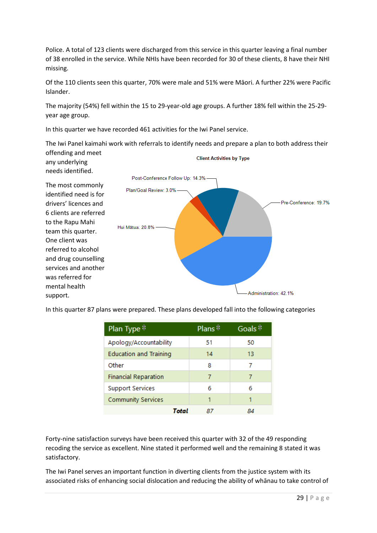Police. A total of 123 clients were discharged from this service in this quarter leaving a final number of 38 enrolled in the service. While NHIs have been recorded for 30 of these clients, 8 have their NHI missing.

Of the 110 clients seen this quarter, 70% were male and 51% were Māori. A further 22% were Pacific Islander.

The majority (54%) fell within the 15 to 29-year-old age groups. A further 18% fell within the 25-29 year age group.

In this quarter we have recorded 461 activities for the Iwi Panel service.

The Iwi Panel kaimahi work with referrals to identify needs and prepare a plan to both address their offending and meet

![](_page_29_Figure_5.jpeg)

In this quarter 87 plans were prepared. These plans developed fall into the following categories

| Plan Type $\hat{z}$           | Plans $\stackrel{\ominus}{\triangledown}$ | Goals $\stackrel{\ominus}{\triangleright}$ |
|-------------------------------|-------------------------------------------|--------------------------------------------|
| Apology/Accountability        | 51                                        | 50                                         |
| <b>Education and Training</b> | 14                                        | 13                                         |
| Other                         | 8                                         | 7                                          |
| <b>Financial Reparation</b>   |                                           | 7                                          |
| <b>Support Services</b>       | 6                                         | 6                                          |
| <b>Community Services</b>     |                                           | 1                                          |
| Total                         |                                           |                                            |

Forty-nine satisfaction surveys have been received this quarter with 32 of the 49 responding recoding the service as excellent. Nine stated it performed well and the remaining 8 stated it was satisfactory.

The Iwi Panel serves an important function in diverting clients from the justice system with its associated risks of enhancing social dislocation and reducing the ability of whānau to take control of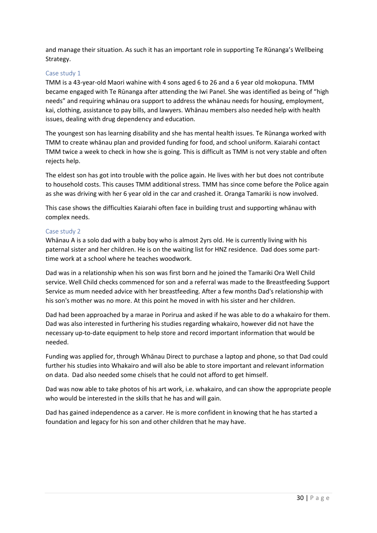and manage their situation. As such it has an important role in supporting Te Rūnanga's Wellbeing Strategy.

#### Case study 1

TMM is a 43-year-old Maori wahine with 4 sons aged 6 to 26 and a 6 year old mokopuna. TMM became engaged with Te Rūnanga after attending the Iwi Panel. She was identified as being of "high needs" and requiring whānau ora support to address the whānau needs for housing, employment, kai, clothing, assistance to pay bills, and lawyers. Whānau members also needed help with health issues, dealing with drug dependency and education.

The youngest son has learning disability and she has mental health issues. Te Rūnanga worked with TMM to create whānau plan and provided funding for food, and school uniform. Kaiarahi contact TMM twice a week to check in how she is going. This is difficult as TMM is not very stable and often rejects help.

The eldest son has got into trouble with the police again. He lives with her but does not contribute to household costs. This causes TMM additional stress. TMM has since come before the Police again as she was driving with her 6 year old in the car and crashed it. Oranga Tamariki is now involved.

This case shows the difficulties Kaiarahi often face in building trust and supporting whānau with complex needs.

#### Case study 2

Whānau A is a solo dad with a baby boy who is almost 2yrs old. He is currently living with his paternal sister and her children. He is on the waiting list for HNZ residence. Dad does some parttime work at a school where he teaches woodwork.

Dad was in a relationship when his son was first born and he joined the Tamariki Ora Well Child service. Well Child checks commenced for son and a referral was made to the Breastfeeding Support Service as mum needed advice with her breastfeeding. After a few months Dad's relationship with his son's mother was no more. At this point he moved in with his sister and her children.

Dad had been approached by a marae in Porirua and asked if he was able to do a whakairo for them. Dad was also interested in furthering his studies regarding whakairo, however did not have the necessary up-to-date equipment to help store and record important information that would be needed.

Funding was applied for, through Whānau Direct to purchase a laptop and phone, so that Dad could further his studies into Whakairo and will also be able to store important and relevant information on data. Dad also needed some chisels that he could not afford to get himself.

Dad was now able to take photos of his art work, i.e. whakairo, and can show the appropriate people who would be interested in the skills that he has and will gain.

Dad has gained independence as a carver. He is more confident in knowing that he has started a foundation and legacy for his son and other children that he may have.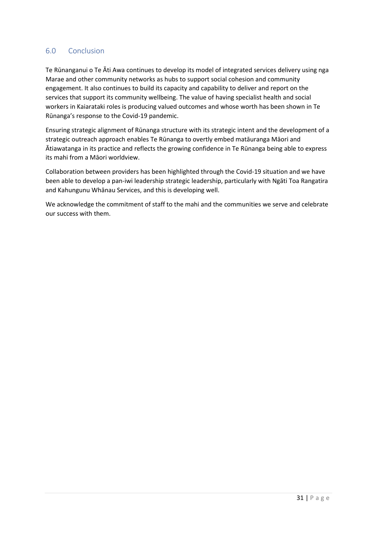#### <span id="page-31-0"></span>6.0 Conclusion

Te Rūnanganui o Te Āti Awa continues to develop its model of integrated services delivery using nga Marae and other community networks as hubs to support social cohesion and community engagement. It also continues to build its capacity and capability to deliver and report on the services that support its community wellbeing. The value of having specialist health and social workers in Kaiarataki roles is producing valued outcomes and whose worth has been shown in Te Rūnanga's response to the Covid-19 pandemic.

Ensuring strategic alignment of Rūnanga structure with its strategic intent and the development of a strategic outreach approach enables Te Rūnanga to overtly embed matāuranga Māori and Ātiawatanga in its practice and reflects the growing confidence in Te Rūnanga being able to express its mahi from a Māori worldview.

Collaboration between providers has been highlighted through the Covid-19 situation and we have been able to develop a pan-iwi leadership strategic leadership, particularly with Ngāti Toa Rangatira and Kahungunu Whānau Services, and this is developing well.

We acknowledge the commitment of staff to the mahi and the communities we serve and celebrate our success with them.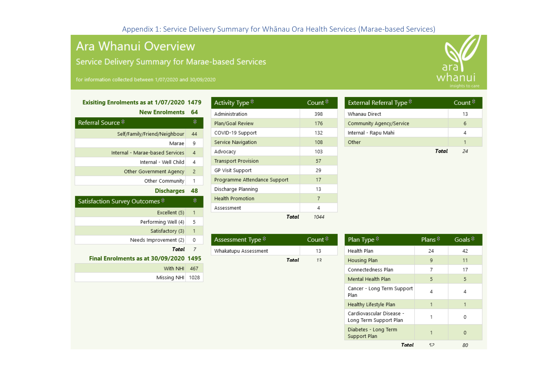## Ara Whanui Overview

Service Delivery Summary for Marae-based Services

#### Exisiting Enrolments as at 1/07/2020 1479

<span id="page-32-0"></span>

| <b>New Enrolments</b>                                                                        | 64             |
|----------------------------------------------------------------------------------------------|----------------|
| Referral Source $\stackrel{\scriptscriptstyle\ominus}{\scriptscriptstyle\circ}$              | €              |
| Self/Family/Friend/Neighbour                                                                 | 44             |
| Marae                                                                                        | 9              |
| Internal - Marae-based Services                                                              | $\overline{4}$ |
| Internal - Well Child                                                                        | 4              |
| Other Government Agency                                                                      | $\overline{2}$ |
| Other Community                                                                              | 1              |
| <b>Discharges</b>                                                                            | 48             |
| Satisfaction Survey Outcomes $\stackrel{\scriptscriptstyle\ominus}{\scriptscriptstyle\circ}$ | €              |
| Excellent (5)                                                                                | $\mathbf{1}$   |
| Performing Well (4)                                                                          | 5              |
| Satisfactory (3)                                                                             | 1              |
| Needs Improvement (2)                                                                        | 0              |
| Total                                                                                        | 7              |
| Final Enrolments as at 30/09/2020                                                            | 1495           |
| With NHI                                                                                     | 467            |
| Missing NHI                                                                                  |                |
|                                                                                              | 1028           |

| Activity Type $\stackrel{\scriptscriptstyle\ominus}{\scriptscriptstyle\circ}$ | Count $\stackrel{\ominus}{\triangleright}$ |
|-------------------------------------------------------------------------------|--------------------------------------------|
| Administration                                                                | 398                                        |
| Plan/Goal Review                                                              | 176                                        |
| COVID-19 Support                                                              | 132                                        |
| Service Navigation                                                            | 108                                        |
| Advocacy                                                                      | 103                                        |
| <b>Transport Provision</b>                                                    | 57                                         |
| GP Visit Support                                                              | 29                                         |
| Programme Attendance Support                                                  | 17                                         |
| Discharge Planning                                                            | 13                                         |
| <b>Health Promotion</b>                                                       | 7                                          |
| Assessment                                                                    | Δ                                          |
| Total                                                                         | 1044                                       |

| Assessment Type $\stackrel{\scriptscriptstyle\ominus}{\scriptscriptstyle\circ}$ |       | Count <sup>⊖</sup> |
|---------------------------------------------------------------------------------|-------|--------------------|
| Whakatupu Assessment                                                            |       | 13                 |
|                                                                                 | Total | 12                 |

| External Referral Type $\stackrel{\scriptscriptstyle\ominus}{\scriptscriptstyle\circ}$ | Count $\stackrel{\scriptscriptstyle\ominus}{\scriptscriptstyle\circ}$ |
|----------------------------------------------------------------------------------------|-----------------------------------------------------------------------|
| Whanau Direct                                                                          | 13                                                                    |
| Community Agency/Service                                                               | 6                                                                     |
| Internal - Rapu Mahi                                                                   | 4                                                                     |
| Other                                                                                  | 1                                                                     |
| Total                                                                                  | 24                                                                    |
|                                                                                        |                                                                       |
|                                                                                        |                                                                       |
|                                                                                        |                                                                       |

| Plan Type $\stackrel{\ominus}{\circ}$              | Plans $\stackrel{\ominus}{\triangledown}$ | Goals $\frac{2}{7}$ |
|----------------------------------------------------|-------------------------------------------|---------------------|
| Health Plan                                        | 24                                        | 42                  |
| Housing Plan                                       | 9                                         | 11                  |
| Connectedness Plan                                 | 7                                         | 17                  |
| Mental Health Plan                                 | 5                                         | 5                   |
| Cancer - Long Term Support<br>Plan                 | Δ                                         | Δ                   |
| Healthy Lifestyle Plan                             |                                           | 1                   |
| Cardiovascular Disease -<br>Long Term Support Plan |                                           | Ω                   |
| Diabetes - Long Term<br>Support Plan               | 1                                         | $\Omega$            |
| Total                                              | 52                                        | 80                  |

![](_page_32_Picture_10.jpeg)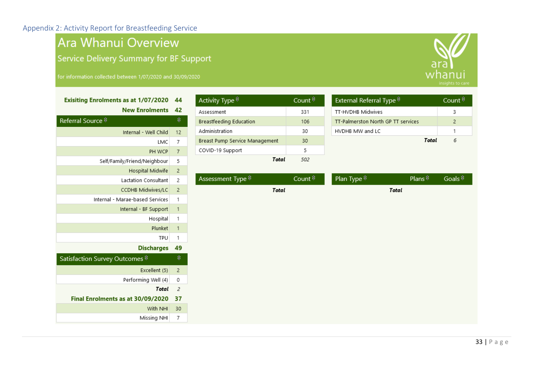## Ara Whanui Overview

Service Delivery Summary for BF Support

## Exisiting Enrolments as at 1/07/2020 44

|  |  | <b>New Enrolments</b> | 42 |
|--|--|-----------------------|----|
|--|--|-----------------------|----|

<span id="page-33-0"></span>

| Referral Source $\stackrel{\scriptscriptstyle\ominus}{\scriptscriptstyle\circ}$ | €              |
|---------------------------------------------------------------------------------|----------------|
| Internal - Well Child                                                           | 12             |
| LMC                                                                             | 7              |
| PH WCP                                                                          | $\overline{7}$ |
| Self/Family/Friend/Neighbour                                                    | 5              |
| Hospital Midwife                                                                | $\overline{2}$ |
| Lactation Consultant                                                            | 2              |
| CCDHB Midwives/LC                                                               | $\overline{2}$ |
| Internal - Marae-based Services                                                 | 1              |
| Internal - BF Support                                                           | 1              |
| Hospital                                                                        | 1              |
| Plunket                                                                         | 1              |
| TPU                                                                             | 1              |
| <b>Discharges</b>                                                               | 49             |
| Satisfaction Survey Outcomes $\hat{\mathbf{\Xi}}$                               | €              |
| Excellent (5)                                                                   | $\overline{2}$ |
| Performing Well (4)                                                             | 0              |
| Total                                                                           | $\overline{z}$ |
| Final Enrolments as at 30/09/2020                                               | 37             |
| With NHI                                                                        | 30             |
| Missina NHI                                                                     | 7              |

| Activity Type $\stackrel{\scriptscriptstyle\ominus}{\scriptscriptstyle\circ}$ | Count $\vec{v}$ |
|-------------------------------------------------------------------------------|-----------------|
| Assessment                                                                    | 331             |
| Breastfeeding Education                                                       | 106             |
| Administration                                                                | 30              |
| Breast Pump Service Management                                                | 30              |
| COVID-19 Support                                                              | 5               |
| Total                                                                         | 502             |

Assessment Type  $\stackrel{\scriptscriptstyle \ominus}{\scriptscriptstyle \sim}$ 

|        | 331                 | TT-HVDHB Midwives                  |                | 3                                   |  |  |  |
|--------|---------------------|------------------------------------|----------------|-------------------------------------|--|--|--|
|        | 106                 | TT-Palmerston North GP TT services |                | $\mathsf{2}\,$                      |  |  |  |
|        | 30                  | HVDHB MW and LC                    |                | 1                                   |  |  |  |
| gement | 30                  |                                    | Total          | 6                                   |  |  |  |
|        | 5                   |                                    |                |                                     |  |  |  |
| Total  | 502                 |                                    |                |                                     |  |  |  |
|        |                     |                                    |                |                                     |  |  |  |
|        | Count $\frac{6}{5}$ | Plan Type $\hat{\overline{z}}$     | Plans $\theta$ | Goals $\stackrel{\triangle}{\circ}$ |  |  |  |
| Total  |                     |                                    | Total          |                                     |  |  |  |
|        |                     |                                    |                |                                     |  |  |  |
|        |                     |                                    |                |                                     |  |  |  |
|        |                     |                                    |                |                                     |  |  |  |
|        |                     |                                    |                |                                     |  |  |  |
|        |                     |                                    |                |                                     |  |  |  |
|        |                     |                                    |                |                                     |  |  |  |
|        |                     |                                    |                |                                     |  |  |  |
|        |                     |                                    |                |                                     |  |  |  |
|        |                     |                                    |                |                                     |  |  |  |
|        |                     |                                    |                |                                     |  |  |  |
|        |                     |                                    |                |                                     |  |  |  |
|        |                     |                                    |                |                                     |  |  |  |
|        |                     |                                    |                |                                     |  |  |  |
|        |                     |                                    |                |                                     |  |  |  |

External Referral Type  $\hat{z}$ 

![](_page_33_Picture_9.jpeg)

Count  $\stackrel{\triangle}{\circ}$